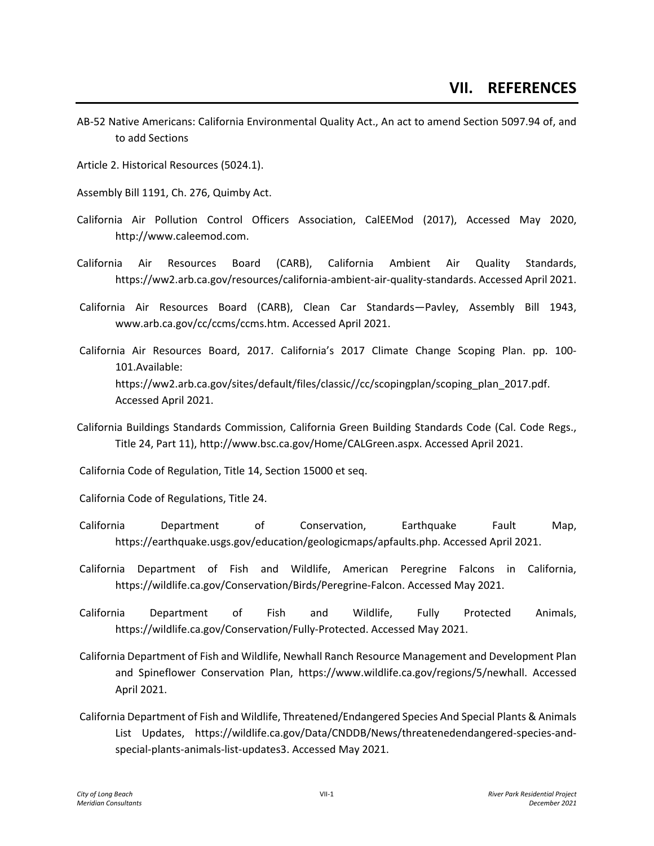- AB-52 Native Americans: California Environmental Quality Act., An act to amend Section 5097.94 of, and to add Sections
- Article 2. Historical Resources (5024.1).
- Assembly Bill 1191, Ch. 276, Quimby Act.
- California Air Pollution Control Officers Association, CalEEMod (2017), Accessed May 2020, http://www.caleemod.com.
- California Air Resources Board (CARB), California Ambient Air Quality Standards, https://ww2.arb.ca.gov/resources/california-ambient-air-quality-standards. Accessed April 2021.
- California Air Resources Board (CARB), Clean Car Standards—Pavley, Assembly Bill 1943, www.arb.ca.gov/cc/ccms/ccms.htm. Accessed April 2021.
- California Air Resources Board, 2017. California's 2017 Climate Change Scoping Plan. pp. 100- 101.Available: https://ww2.arb.ca.gov/sites/default/files/classic//cc/scopingplan/scoping\_plan\_2017.pdf. Accessed April 2021.
- California Buildings Standards Commission, California Green Building Standards Code (Cal. Code Regs., Title 24, Part 11), http://www.bsc.ca.gov/Home/CALGreen.aspx. Accessed April 2021.
- California Code of Regulation, Title 14, Section 15000 et seq.
- California Code of Regulations, Title 24.
- California Department of Conservation, Earthquake Fault Map, https://earthquake.usgs.gov/education/geologicmaps/apfaults.php. Accessed April 2021.
- California Department of Fish and Wildlife, American Peregrine Falcons in California, https://wildlife.ca.gov/Conservation/Birds/Peregrine-Falcon. Accessed May 2021.
- California Department of Fish and Wildlife, Fully Protected Animals, https://wildlife.ca.gov/Conservation/Fully-Protected. Accessed May 2021.
- California Department of Fish and Wildlife, Newhall Ranch Resource Management and Development Plan and Spineflower Conservation Plan, https://www.wildlife.ca.gov/regions/5/newhall. Accessed April 2021.
- California Department of Fish and Wildlife, Threatened/Endangered Species And Special Plants & Animals List Updates, https://wildlife.ca.gov/Data/CNDDB/News/threatenedendangered-species-andspecial-plants-animals-list-updates3. Accessed May 2021.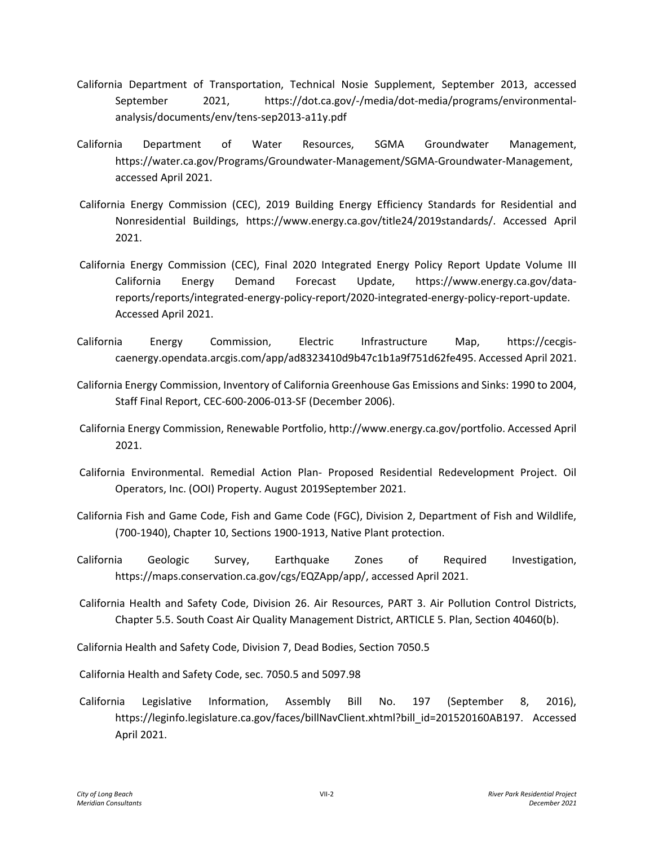- California Department of Transportation, Technical Nosie Supplement, September 2013, accessed September 2021, https://dot.ca.gov/-/media/dot-media/programs/environmentalanalysis/documents/env/tens-sep2013-a11y.pdf
- California Department of Water Resources, SGMA Groundwater Management, https://water.ca.gov/Programs/Groundwater-Management/SGMA-Groundwater-Management, accessed April 2021.
- California Energy Commission (CEC), 2019 Building Energy Efficiency Standards for Residential and Nonresidential Buildings, https://www.energy.ca.gov/title24/2019standards/. Accessed April 2021.
- California Energy Commission (CEC), Final 2020 Integrated Energy Policy Report Update Volume III California Energy Demand Forecast Update, https://www.energy.ca.gov/datareports/reports/integrated-energy-policy-report/2020-integrated-energy-policy-report-update. Accessed April 2021.
- California Energy Commission, Electric Infrastructure Map, https://cecgiscaenergy.opendata.arcgis.com/app/ad8323410d9b47c1b1a9f751d62fe495. Accessed April 2021.
- California Energy Commission, Inventory of California Greenhouse Gas Emissions and Sinks: 1990 to 2004, Staff Final Report, CEC-600-2006-013-SF (December 2006).
- California Energy Commission, Renewable Portfolio, http://www.energy.ca.gov/portfolio. Accessed April 2021.
- California Environmental. Remedial Action Plan- Proposed Residential Redevelopment Project. Oil Operators, Inc. (OOI) Property. August 2019September 2021.
- California Fish and Game Code, Fish and Game Code (FGC), Division 2, Department of Fish and Wildlife, (700-1940), Chapter 10, Sections 1900-1913, Native Plant protection.
- California Geologic Survey, Earthquake Zones of Required Investigation, https://maps.conservation.ca.gov/cgs/EQZApp/app/, accessed April 2021.
- California Health and Safety Code, Division 26. Air Resources, PART 3. Air Pollution Control Districts, Chapter 5.5. South Coast Air Quality Management District, ARTICLE 5. Plan, Section 40460(b).

California Health and Safety Code, Division 7, Dead Bodies, Section 7050.5

California Health and Safety Code, sec. 7050.5 and 5097.98

California Legislative Information, Assembly Bill No. 197 (September 8, 2016), https://leginfo.legislature.ca.gov/faces/billNavClient.xhtml?bill\_id=201520160AB197. Accessed April 2021.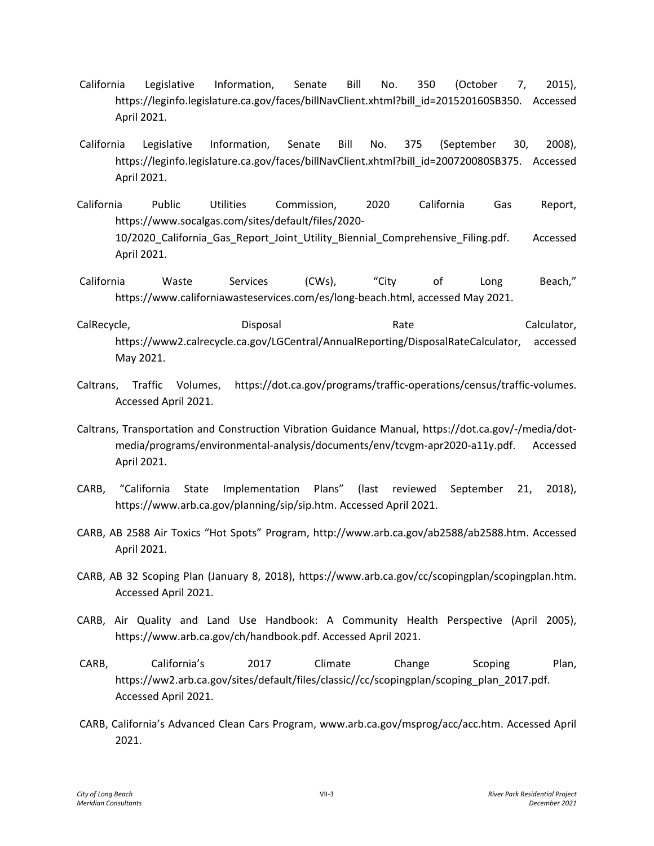- California Legislative Information, Senate Bill No. 350 (October 7, 2015), https://leginfo.legislature.ca.gov/faces/billNavClient.xhtml?bill\_id=201520160SB350. Accessed April 2021.
- California Legislative Information, Senate Bill No. 375 (September 30, 2008), https://leginfo.legislature.ca.gov/faces/billNavClient.xhtml?bill\_id=200720080SB375. Accessed April 2021.
- California Public Utilities Commission, 2020 California Gas Report, https://www.socalgas.com/sites/default/files/2020- 10/2020 California Gas Report Joint Utility Biennial Comprehensive Filing.pdf. Accessed April 2021.
- California Waste Services (CWs), "City of Long Beach," https://www.californiawasteservices.com/es/long-beach.html, accessed May 2021.
- CalRecycle, The Calculator Calculator, Calculator, Calculator, Calculator, Calculator, https://www2.calrecycle.ca.gov/LGCentral/AnnualReporting/DisposalRateCalculator, accessed May 2021.
- Caltrans, Traffic Volumes, https://dot.ca.gov/programs/traffic-operations/census/traffic-volumes. Accessed April 2021.
- Caltrans, Transportation and Construction Vibration Guidance Manual, https://dot.ca.gov/-/media/dotmedia/programs/environmental-analysis/documents/env/tcvgm-apr2020-a11y.pdf. Accessed April 2021.
- CARB, "California State Implementation Plans" (last reviewed September 21, 2018), https://www.arb.ca.gov/planning/sip/sip.htm. Accessed April 2021.
- CARB, AB 2588 Air Toxics "Hot Spots" Program, http://www.arb.ca.gov/ab2588/ab2588.htm. Accessed April 2021.
- CARB, AB 32 Scoping Plan (January 8, 2018), https://www.arb.ca.gov/cc/scopingplan/scopingplan.htm. Accessed April 2021.
- CARB, Air Quality and Land Use Handbook: A Community Health Perspective (April 2005), https://www.arb.ca.gov/ch/handbook.pdf. Accessed April 2021.
- CARB, California's 2017 Climate Change Scoping Plan, https://ww2.arb.ca.gov/sites/default/files/classic//cc/scopingplan/scoping\_plan\_2017.pdf. Accessed April 2021.
- CARB, California's Advanced Clean Cars Program, www.arb.ca.gov/msprog/acc/acc.htm. Accessed April 2021.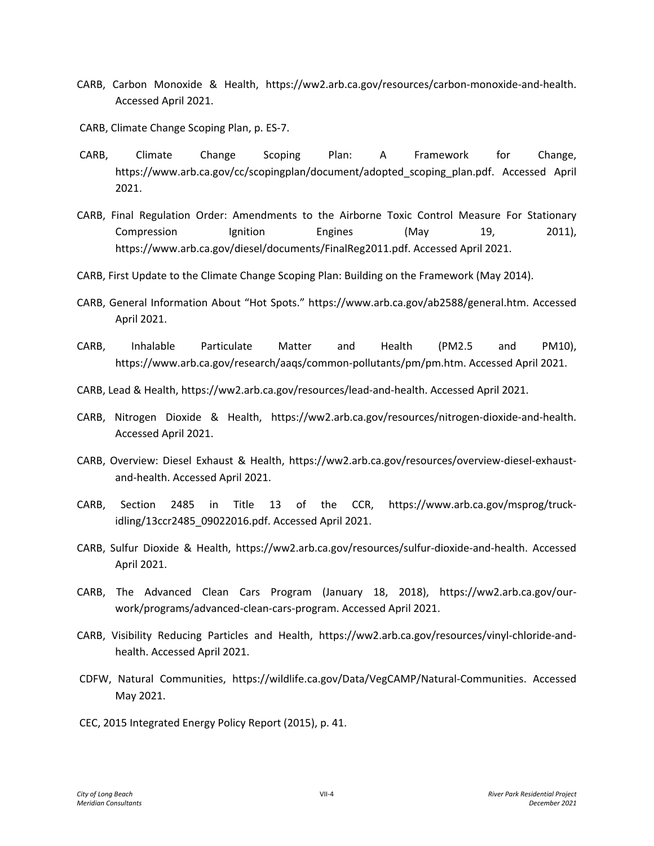- CARB, Carbon Monoxide & Health, https://ww2.arb.ca.gov/resources/carbon-monoxide-and-health. Accessed April 2021.
- CARB, Climate Change Scoping Plan, p. ES-7.
- CARB, Climate Change Scoping Plan: A Framework for Change, https://www.arb.ca.gov/cc/scopingplan/document/adopted\_scoping\_plan.pdf. Accessed April 2021.
- CARB, Final Regulation Order: Amendments to the Airborne Toxic Control Measure For Stationary Compression Ignition Engines (May 19, 2011), https://www.arb.ca.gov/diesel/documents/FinalReg2011.pdf. Accessed April 2021.
- CARB, First Update to the Climate Change Scoping Plan: Building on the Framework (May 2014).
- CARB, General Information About "Hot Spots." https://www.arb.ca.gov/ab2588/general.htm. Accessed April 2021.
- CARB, Inhalable Particulate Matter and Health (PM2.5 and PM10), https://www.arb.ca.gov/research/aaqs/common-pollutants/pm/pm.htm. Accessed April 2021.
- CARB, Lead & Health, https://ww2.arb.ca.gov/resources/lead-and-health. Accessed April 2021.
- CARB, Nitrogen Dioxide & Health, https://ww2.arb.ca.gov/resources/nitrogen-dioxide-and-health. Accessed April 2021.
- CARB, Overview: Diesel Exhaust & Health, https://ww2.arb.ca.gov/resources/overview-diesel-exhaustand-health. Accessed April 2021.
- CARB, Section 2485 in Title 13 of the CCR, https://www.arb.ca.gov/msprog/truckidling/13ccr2485\_09022016.pdf. Accessed April 2021.
- CARB, Sulfur Dioxide & Health, https://ww2.arb.ca.gov/resources/sulfur-dioxide-and-health. Accessed April 2021.
- CARB, The Advanced Clean Cars Program (January 18, 2018), https://ww2.arb.ca.gov/ourwork/programs/advanced-clean-cars-program. Accessed April 2021.
- CARB, Visibility Reducing Particles and Health, https://ww2.arb.ca.gov/resources/vinyl-chloride-andhealth. Accessed April 2021.
- CDFW, Natural Communities, https://wildlife.ca.gov/Data/VegCAMP/Natural-Communities. Accessed May 2021.
- CEC, 2015 Integrated Energy Policy Report (2015), p. 41.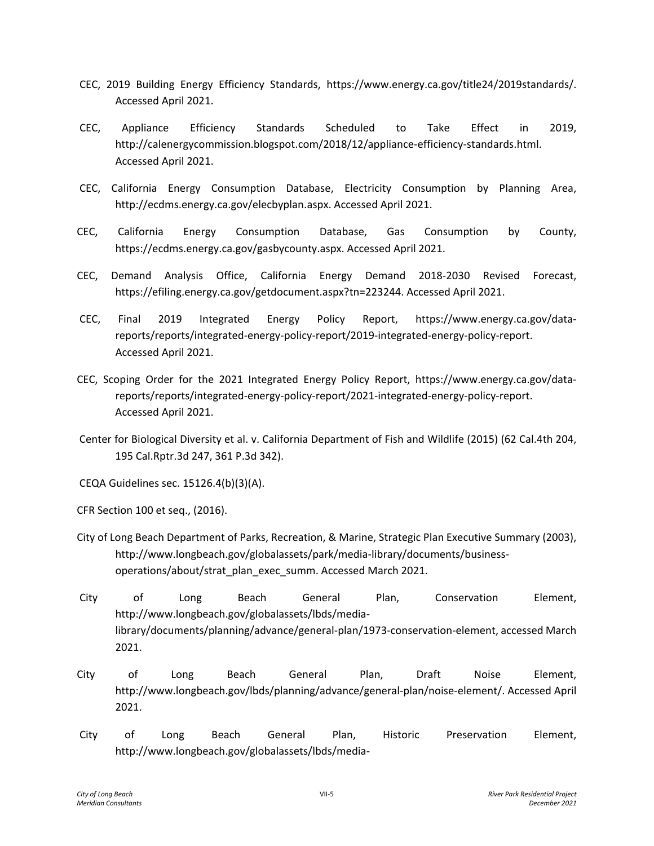- CEC, 2019 Building Energy Efficiency Standards, https://www.energy.ca.gov/title24/2019standards/. Accessed April 2021.
- CEC, Appliance Efficiency Standards Scheduled to Take Effect in 2019, http://calenergycommission.blogspot.com/2018/12/appliance-efficiency-standards.html. Accessed April 2021.
- CEC, California Energy Consumption Database, Electricity Consumption by Planning Area, http://ecdms.energy.ca.gov/elecbyplan.aspx. Accessed April 2021.
- CEC, California Energy Consumption Database, Gas Consumption by County, https://ecdms.energy.ca.gov/gasbycounty.aspx. Accessed April 2021.
- CEC, Demand Analysis Office, California Energy Demand 2018-2030 Revised Forecast, https://efiling.energy.ca.gov/getdocument.aspx?tn=223244. Accessed April 2021.
- CEC, Final 2019 Integrated Energy Policy Report, https://www.energy.ca.gov/datareports/reports/integrated-energy-policy-report/2019-integrated-energy-policy-report. Accessed April 2021.
- CEC, Scoping Order for the 2021 Integrated Energy Policy Report, https://www.energy.ca.gov/datareports/reports/integrated-energy-policy-report/2021-integrated-energy-policy-report. Accessed April 2021.
- Center for Biological Diversity et al. v. California Department of Fish and Wildlife (2015) (62 Cal.4th 204, 195 Cal.Rptr.3d 247, 361 P.3d 342).
- CEQA Guidelines sec. 15126.4(b)(3)(A).
- CFR Section 100 et seq., (2016).
- City of Long Beach Department of Parks, Recreation, & Marine, Strategic Plan Executive Summary (2003), http://www.longbeach.gov/globalassets/park/media-library/documents/businessoperations/about/strat\_plan\_exec\_summ. Accessed March 2021.
- City of Long Beach General Plan, Conservation Element, http://www.longbeach.gov/globalassets/lbds/medialibrary/documents/planning/advance/general-plan/1973-conservation-element, accessed March 2021.
- City of Long Beach General Plan, Draft Noise Element, http://www.longbeach.gov/lbds/planning/advance/general-plan/noise-element/. Accessed April 2021.
- City of Long Beach General Plan, Historic Preservation Element, http://www.longbeach.gov/globalassets/lbds/media-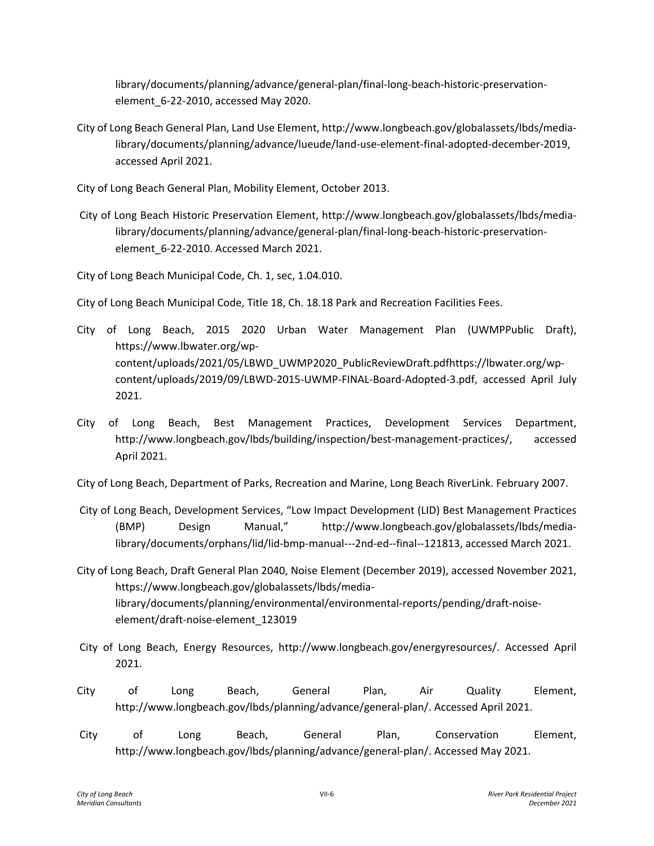library/documents/planning/advance/general-plan/final-long-beach-historic-preservationelement 6-22-2010, accessed May 2020.

City of Long Beach General Plan, Land Use Element, http://www.longbeach.gov/globalassets/lbds/medialibrary/documents/planning/advance/lueude/land-use-element-final-adopted-december-2019, accessed April 2021.

City of Long Beach General Plan, Mobility Element, October 2013.

City of Long Beach Historic Preservation Element, http://www.longbeach.gov/globalassets/lbds/medialibrary/documents/planning/advance/general-plan/final-long-beach-historic-preservationelement\_6-22-2010. Accessed March 2021.

City of Long Beach Municipal Code, Ch. 1, sec, 1.04.010.

City of Long Beach Municipal Code, Title 18, Ch. 18.18 Park and Recreation Facilities Fees.

- City of Long Beach, 2015 2020 Urban Water Management Plan (UWMPPublic Draft), https://www.lbwater.org/wpcontent/uploads/2021/05/LBWD\_UWMP2020\_PublicReviewDraft.pdfhttps://lbwater.org/wpcontent/uploads/2019/09/LBWD-2015-UWMP-FINAL-Board-Adopted-3.pdf, accessed April July 2021.
- City of Long Beach, Best Management Practices, Development Services Department, http://www.longbeach.gov/lbds/building/inspection/best-management-practices/, accessed April 2021.

City of Long Beach, Department of Parks, Recreation and Marine, Long Beach RiverLink. February 2007.

- City of Long Beach, Development Services, "Low Impact Development (LID) Best Management Practices (BMP) Design Manual," http://www.longbeach.gov/globalassets/lbds/medialibrary/documents/orphans/lid/lid-bmp-manual---2nd-ed--final--121813, accessed March 2021.
- City of Long Beach, Draft General Plan 2040, Noise Element (December 2019), accessed November 2021, https://www.longbeach.gov/globalassets/lbds/medialibrary/documents/planning/environmental/environmental-reports/pending/draft-noiseelement/draft-noise-element\_123019
- City of Long Beach, Energy Resources, http://www.longbeach.gov/energyresources/. Accessed April 2021.
- City of Long Beach, General Plan, Air Quality Element, http://www.longbeach.gov/lbds/planning/advance/general-plan/. Accessed April 2021.
- City of Long Beach, General Plan, Conservation Element, http://www.longbeach.gov/lbds/planning/advance/general-plan/. Accessed May 2021.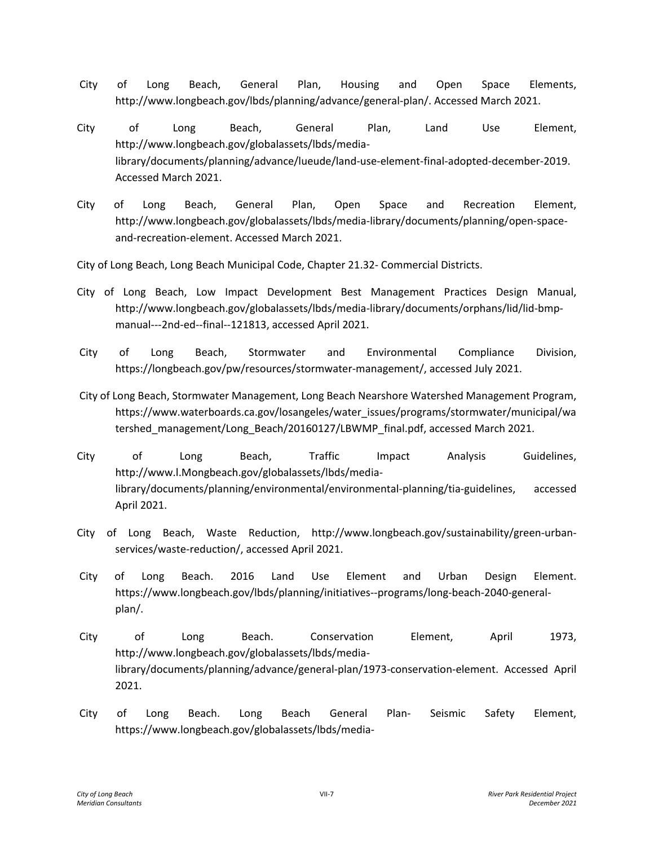- City of Long Beach, General Plan, Housing and Open Space Elements, http://www.longbeach.gov/lbds/planning/advance/general-plan/. Accessed March 2021.
- City of Long Beach, General Plan, Land Use Element, http://www.longbeach.gov/globalassets/lbds/medialibrary/documents/planning/advance/lueude/land-use-element-final-adopted-december-2019. Accessed March 2021.
- City of Long Beach, General Plan, Open Space and Recreation Element, http://www.longbeach.gov/globalassets/lbds/media-library/documents/planning/open-spaceand-recreation-element. Accessed March 2021.

City of Long Beach, Long Beach Municipal Code, Chapter 21.32- Commercial Districts.

- City of Long Beach, Low Impact Development Best Management Practices Design Manual, http://www.longbeach.gov/globalassets/lbds/media-library/documents/orphans/lid/lid-bmpmanual---2nd-ed--final--121813, accessed April 2021.
- City of Long Beach, Stormwater and Environmental Compliance Division, https://longbeach.gov/pw/resources/stormwater-management/, accessed July 2021.
- City of Long Beach, Stormwater Management, Long Beach Nearshore Watershed Management Program, https://www.waterboards.ca.gov/losangeles/water\_issues/programs/stormwater/municipal/wa tershed\_management/Long\_Beach/20160127/LBWMP\_final.pdf, accessed March 2021.
- City of Long Beach, Traffic Impact Analysis Guidelines, http://www.l.Mongbeach.gov/globalassets/lbds/medialibrary/documents/planning/environmental/environmental-planning/tia-guidelines, accessed April 2021.
- City of Long Beach, Waste Reduction, http://www.longbeach.gov/sustainability/green-urbanservices/waste-reduction/, accessed April 2021.
- City of Long Beach. 2016 Land Use Element and Urban Design Element. https://www.longbeach.gov/lbds/planning/initiatives--programs/long-beach-2040-generalplan/.
- City of Long Beach. Conservation Element, April 1973, http://www.longbeach.gov/globalassets/lbds/medialibrary/documents/planning/advance/general-plan/1973-conservation-element. Accessed April 2021.
- City of Long Beach. Long Beach General Plan- Seismic Safety Element, https://www.longbeach.gov/globalassets/lbds/media-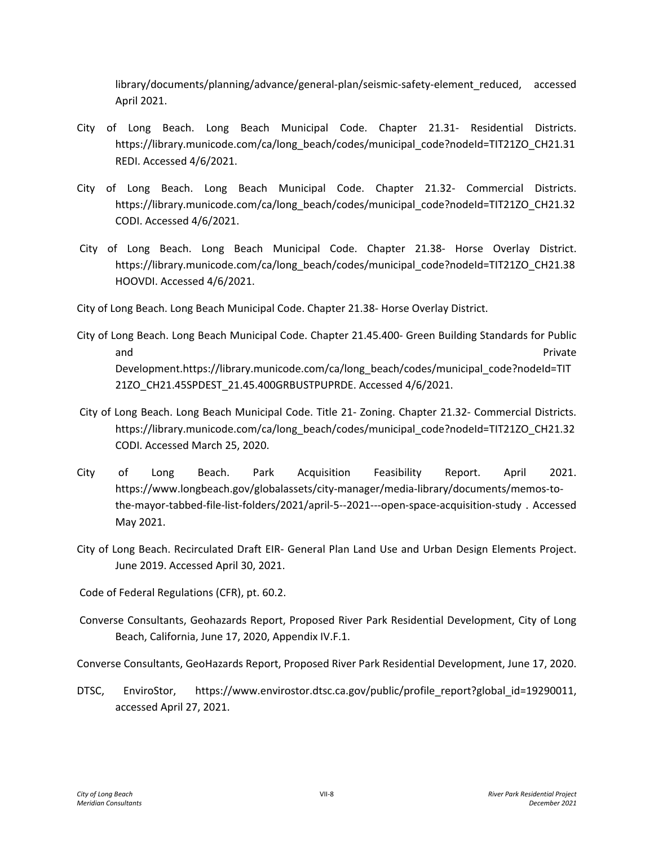library/documents/planning/advance/general-plan/seismic-safety-element\_reduced, accessed April 2021.

- City of Long Beach. Long Beach Municipal Code. Chapter 21.31- Residential Districts. https://library.municode.com/ca/long\_beach/codes/municipal\_code?nodeId=TIT21ZO\_CH21.31 REDI. Accessed 4/6/2021.
- City of Long Beach. Long Beach Municipal Code. Chapter 21.32- Commercial Districts. https://library.municode.com/ca/long\_beach/codes/municipal\_code?nodeId=TIT21ZO\_CH21.32 CODI. Accessed 4/6/2021.
- City of Long Beach. Long Beach Municipal Code. Chapter 21.38- Horse Overlay District. https://library.municode.com/ca/long\_beach/codes/municipal\_code?nodeId=TIT21ZO\_CH21.38 HOOVDI. Accessed 4/6/2021.

City of Long Beach. Long Beach Municipal Code. Chapter 21.38- Horse Overlay District.

- City of Long Beach. Long Beach Municipal Code. Chapter 21.45.400- Green Building Standards for Public and Private Development.https://library.municode.com/ca/long\_beach/codes/municipal\_code?nodeId=TIT 21ZO\_CH21.45SPDEST\_21.45.400GRBUSTPUPRDE. Accessed 4/6/2021.
- City of Long Beach. Long Beach Municipal Code. Title 21- Zoning. Chapter 21.32- Commercial Districts. https://library.municode.com/ca/long\_beach/codes/municipal\_code?nodeId=TIT21ZO\_CH21.32 CODI. Accessed March 25, 2020.
- City of Long Beach. Park Acquisition Feasibility Report. April 2021. https://www.longbeach.gov/globalassets/city-manager/media-library/documents/memos-tothe-mayor-tabbed-file-list-folders/2021/april-5--2021---open-space-acquisition-study . Accessed May 2021.
- City of Long Beach. Recirculated Draft EIR- General Plan Land Use and Urban Design Elements Project. June 2019. Accessed April 30, 2021.

Code of Federal Regulations (CFR), pt. 60.2.

Converse Consultants, Geohazards Report, Proposed River Park Residential Development, City of Long Beach, California, June 17, 2020, Appendix IV.F.1.

Converse Consultants, GeoHazards Report, Proposed River Park Residential Development, June 17, 2020.

DTSC, EnviroStor, https://www.envirostor.dtsc.ca.gov/public/profile\_report?global\_id=19290011, accessed April 27, 2021.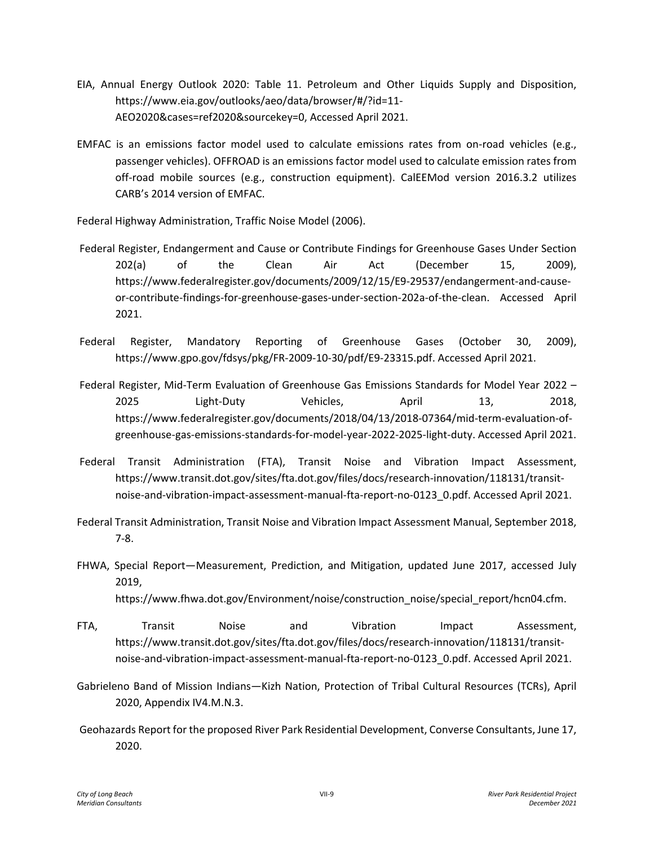- EIA, Annual Energy Outlook 2020: Table 11. Petroleum and Other Liquids Supply and Disposition, https://www.eia.gov/outlooks/aeo/data/browser/#/?id=11- AEO2020&cases=ref2020&sourcekey=0, Accessed April 2021.
- EMFAC is an emissions factor model used to calculate emissions rates from on-road vehicles (e.g., passenger vehicles). OFFROAD is an emissions factor model used to calculate emission rates from off-road mobile sources (e.g., construction equipment). CalEEMod version 2016.3.2 utilizes CARB's 2014 version of EMFAC.

Federal Highway Administration, Traffic Noise Model (2006).

- Federal Register, Endangerment and Cause or Contribute Findings for Greenhouse Gases Under Section 202(a) of the Clean Air Act (December 15, 2009), https://www.federalregister.gov/documents/2009/12/15/E9-29537/endangerment-and-causeor-contribute-findings-for-greenhouse-gases-under-section-202a-of-the-clean. Accessed April 2021.
- Federal Register, Mandatory Reporting of Greenhouse Gases (October 30, 2009), https://www.gpo.gov/fdsys/pkg/FR-2009-10-30/pdf/E9-23315.pdf. Accessed April 2021.
- Federal Register, Mid-Term Evaluation of Greenhouse Gas Emissions Standards for Model Year 2022 2025 Light-Duty Vehicles, April 13, 2018, https://www.federalregister.gov/documents/2018/04/13/2018-07364/mid-term-evaluation-ofgreenhouse-gas-emissions-standards-for-model-year-2022-2025-light-duty. Accessed April 2021.
- Federal Transit Administration (FTA), Transit Noise and Vibration Impact Assessment, https://www.transit.dot.gov/sites/fta.dot.gov/files/docs/research-innovation/118131/transitnoise-and-vibration-impact-assessment-manual-fta-report-no-0123\_0.pdf. Accessed April 2021.
- Federal Transit Administration, Transit Noise and Vibration Impact Assessment Manual, September 2018, 7-8.
- FHWA, Special Report—Measurement, Prediction, and Mitigation, updated June 2017, accessed July 2019, https://www.fhwa.dot.gov/Environment/noise/construction\_noise/special\_report/hcn04.cfm.
- FTA, Transit Noise and Vibration Impact Assessment, https://www.transit.dot.gov/sites/fta.dot.gov/files/docs/research-innovation/118131/transitnoise-and-vibration-impact-assessment-manual-fta-report-no-0123\_0.pdf. Accessed April 2021.
- Gabrieleno Band of Mission Indians—Kizh Nation, Protection of Tribal Cultural Resources (TCRs), April 2020, Appendix IV4.M.N.3.
- Geohazards Report for the proposed River Park Residential Development, Converse Consultants, June 17, 2020.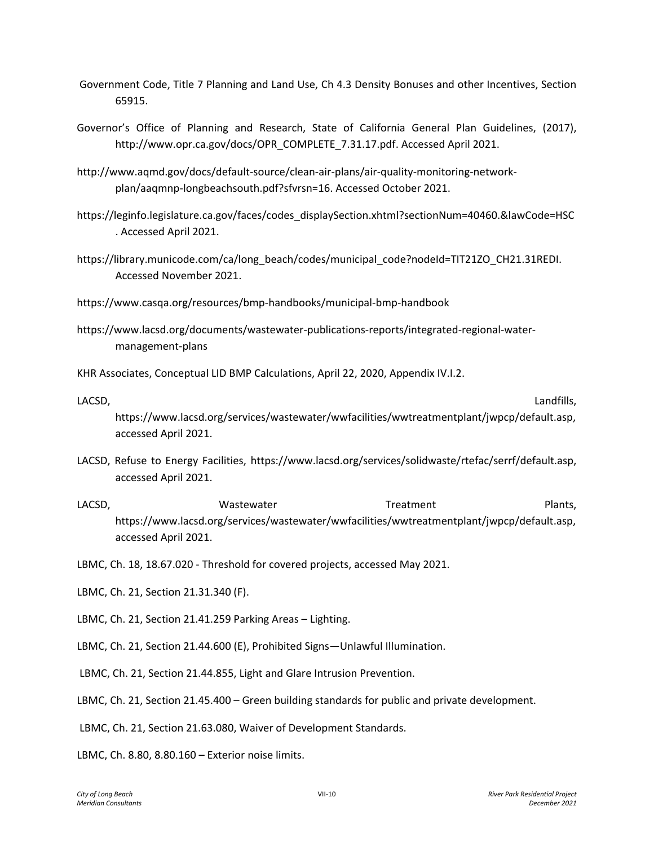- Government Code, Title 7 Planning and Land Use, Ch 4.3 Density Bonuses and other Incentives, Section 65915.
- Governor's Office of Planning and Research, State of California General Plan Guidelines, (2017), http://www.opr.ca.gov/docs/OPR\_COMPLETE\_7.31.17.pdf. Accessed April 2021.
- http://www.aqmd.gov/docs/default-source/clean-air-plans/air-quality-monitoring-networkplan/aaqmnp-longbeachsouth.pdf?sfvrsn=16. Accessed October 2021.
- https://leginfo.legislature.ca.gov/faces/codes\_displaySection.xhtml?sectionNum=40460.&lawCode=HSC . Accessed April 2021.
- https://library.municode.com/ca/long\_beach/codes/municipal\_code?nodeId=TIT21ZO\_CH21.31REDI. Accessed November 2021.
- https://www.casqa.org/resources/bmp-handbooks/municipal-bmp-handbook
- https://www.lacsd.org/documents/wastewater-publications-reports/integrated-regional-watermanagement-plans

KHR Associates, Conceptual LID BMP Calculations, April 22, 2020, Appendix IV.I.2.

LACSD, Landfills,

https://www.lacsd.org/services/wastewater/wwfacilities/wwtreatmentplant/jwpcp/default.asp, accessed April 2021.

- LACSD, Refuse to Energy Facilities, https://www.lacsd.org/services/solidwaste/rtefac/serrf/default.asp, accessed April 2021.
- LACSD, Wastewater Treatment Plants, https://www.lacsd.org/services/wastewater/wwfacilities/wwtreatmentplant/jwpcp/default.asp, accessed April 2021.
- LBMC, Ch. 18, 18.67.020 Threshold for covered projects, accessed May 2021.
- LBMC, Ch. 21, Section 21.31.340 (F).
- LBMC, Ch. 21, Section 21.41.259 Parking Areas Lighting.
- LBMC, Ch. 21, Section 21.44.600 (E), Prohibited Signs—Unlawful Illumination.
- LBMC, Ch. 21, Section 21.44.855, Light and Glare Intrusion Prevention.
- LBMC, Ch. 21, Section 21.45.400 Green building standards for public and private development.
- LBMC, Ch. 21, Section 21.63.080, Waiver of Development Standards.

LBMC, Ch. 8.80, 8.80.160 – Exterior noise limits.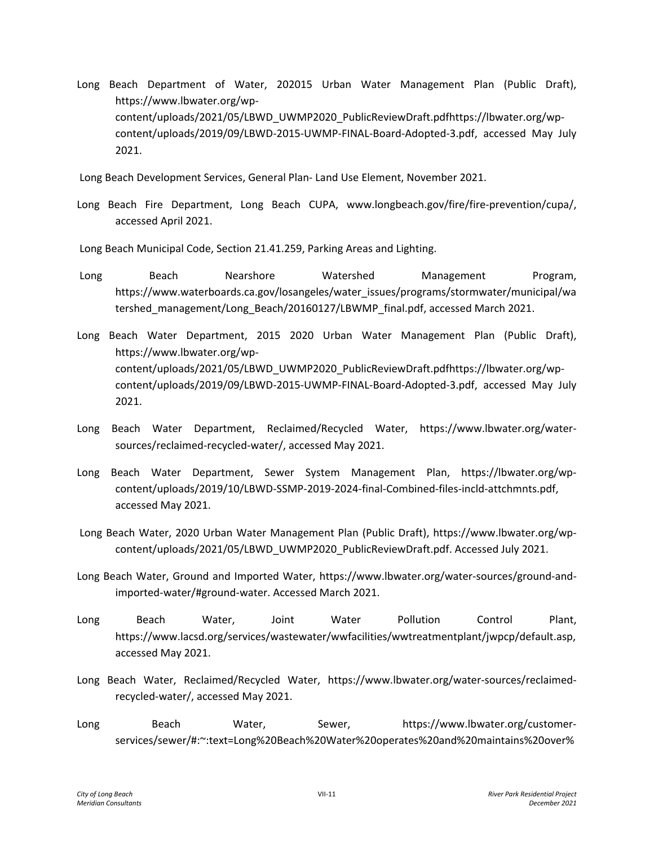Long Beach Department of Water, 202015 Urban Water Management Plan (Public Draft), https://www.lbwater.org/wpcontent/uploads/2021/05/LBWD\_UWMP2020\_PublicReviewDraft.pdfhttps://lbwater.org/wpcontent/uploads/2019/09/LBWD-2015-UWMP-FINAL-Board-Adopted-3.pdf, accessed May July 2021.

Long Beach Development Services, General Plan- Land Use Element, November 2021.

Long Beach Fire Department, Long Beach CUPA, www.longbeach.gov/fire/fire-prevention/cupa/, accessed April 2021.

Long Beach Municipal Code, Section 21.41.259, Parking Areas and Lighting.

- Long Beach Nearshore Watershed Management Program, https://www.waterboards.ca.gov/losangeles/water\_issues/programs/stormwater/municipal/wa tershed\_management/Long\_Beach/20160127/LBWMP\_final.pdf, accessed March 2021.
- Long Beach Water Department, 2015 2020 Urban Water Management Plan (Public Draft), https://www.lbwater.org/wpcontent/uploads/2021/05/LBWD\_UWMP2020\_PublicReviewDraft.pdfhttps://lbwater.org/wpcontent/uploads/2019/09/LBWD-2015-UWMP-FINAL-Board-Adopted-3.pdf, accessed May July 2021.
- Long Beach Water Department, Reclaimed/Recycled Water, https://www.lbwater.org/watersources/reclaimed-recycled-water/, accessed May 2021.
- Long Beach Water Department, Sewer System Management Plan, https://lbwater.org/wpcontent/uploads/2019/10/LBWD-SSMP-2019-2024-final-Combined-files-incld-attchmnts.pdf, accessed May 2021.
- Long Beach Water, 2020 Urban Water Management Plan (Public Draft), https://www.lbwater.org/wpcontent/uploads/2021/05/LBWD\_UWMP2020\_PublicReviewDraft.pdf. Accessed July 2021.
- Long Beach Water, Ground and Imported Water, https://www.lbwater.org/water-sources/ground-andimported-water/#ground-water. Accessed March 2021.
- Long Beach Water, Joint Water Pollution Control Plant, https://www.lacsd.org/services/wastewater/wwfacilities/wwtreatmentplant/jwpcp/default.asp, accessed May 2021.
- Long Beach Water, Reclaimed/Recycled Water, https://www.lbwater.org/water-sources/reclaimedrecycled-water/, accessed May 2021.
- Long Beach Water, Sewer, https://www.lbwater.org/customerservices/sewer/#:~:text=Long%20Beach%20Water%20operates%20and%20maintains%20over%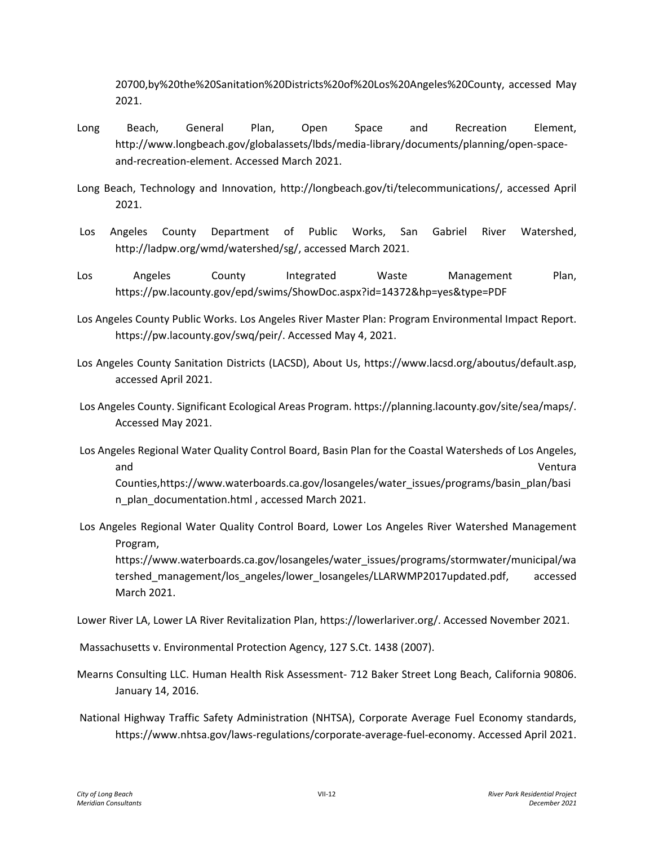20700,by%20the%20Sanitation%20Districts%20of%20Los%20Angeles%20County, accessed May 2021.

- Long Beach, General Plan, Open Space and Recreation Element, http://www.longbeach.gov/globalassets/lbds/media-library/documents/planning/open-spaceand-recreation-element. Accessed March 2021.
- Long Beach, Technology and Innovation, http://longbeach.gov/ti/telecommunications/, accessed April 2021.
- Los Angeles County Department of Public Works, San Gabriel River Watershed, http://ladpw.org/wmd/watershed/sg/, accessed March 2021.
- Los Angeles County Integrated Waste Management Plan, https://pw.lacounty.gov/epd/swims/ShowDoc.aspx?id=14372&hp=yes&type=PDF
- Los Angeles County Public Works. Los Angeles River Master Plan: Program Environmental Impact Report. https://pw.lacounty.gov/swq/peir/. Accessed May 4, 2021.
- Los Angeles County Sanitation Districts (LACSD), About Us, https://www.lacsd.org/aboutus/default.asp, accessed April 2021.
- Los Angeles County. Significant Ecological Areas Program. https://planning.lacounty.gov/site/sea/maps/. Accessed May 2021.
- Los Angeles Regional Water Quality Control Board, Basin Plan for the Coastal Watersheds of Los Angeles, and Ventura Counties,https://www.waterboards.ca.gov/losangeles/water\_issues/programs/basin\_plan/basi n\_plan\_documentation.html , accessed March 2021.
- Los Angeles Regional Water Quality Control Board, Lower Los Angeles River Watershed Management Program,

https://www.waterboards.ca.gov/losangeles/water\_issues/programs/stormwater/municipal/wa tershed\_management/los\_angeles/lower\_losangeles/LLARWMP2017updated.pdf, accessed March 2021.

Lower River LA, Lower LA River Revitalization Plan, https://lowerlariver.org/. Accessed November 2021.

Massachusetts v. Environmental Protection Agency, 127 S.Ct. 1438 (2007).

- Mearns Consulting LLC. Human Health Risk Assessment- 712 Baker Street Long Beach, California 90806. January 14, 2016.
- National Highway Traffic Safety Administration (NHTSA), Corporate Average Fuel Economy standards, https://www.nhtsa.gov/laws-regulations/corporate-average-fuel-economy. Accessed April 2021.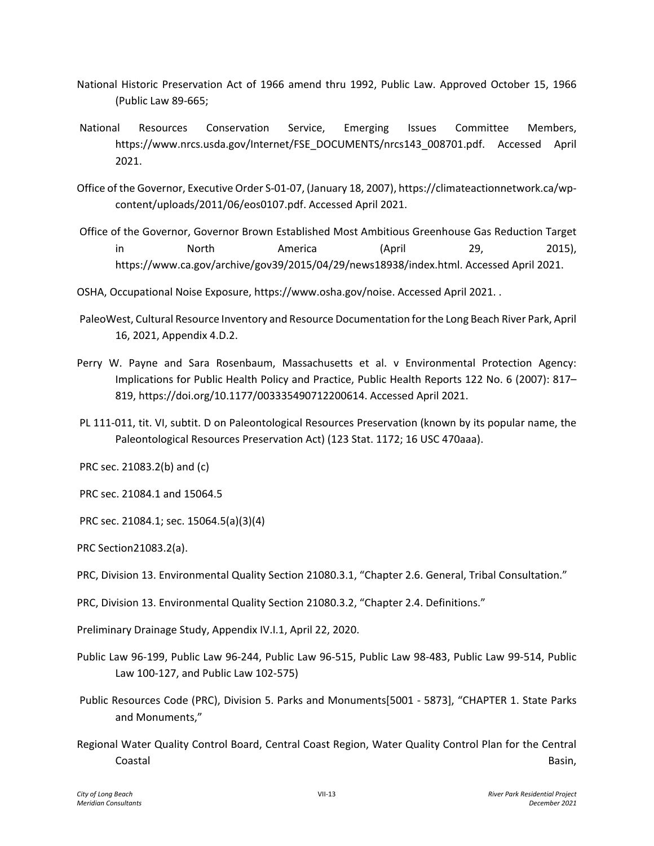- National Historic Preservation Act of 1966 amend thru 1992, Public Law. Approved October 15, 1966 (Public Law 89-665;
- National Resources Conservation Service, Emerging Issues Committee Members, https://www.nrcs.usda.gov/Internet/FSE\_DOCUMENTS/nrcs143\_008701.pdf. Accessed April 2021.
- Office of the Governor, Executive Order S-01-07, (January 18, 2007), https://climateactionnetwork.ca/wpcontent/uploads/2011/06/eos0107.pdf. Accessed April 2021.
- Office of the Governor, Governor Brown Established Most Ambitious Greenhouse Gas Reduction Target in North America (April 29, 2015), https://www.ca.gov/archive/gov39/2015/04/29/news18938/index.html. Accessed April 2021.
- OSHA, Occupational Noise Exposure, https://www.osha.gov/noise. Accessed April 2021. .
- PaleoWest, Cultural Resource Inventory and Resource Documentation for the Long Beach River Park, April 16, 2021, Appendix 4.D.2.
- Perry W. Payne and Sara Rosenbaum, Massachusetts et al. v Environmental Protection Agency: Implications for Public Health Policy and Practice, Public Health Reports 122 No. 6 (2007): 817– 819, https://doi.org/10.1177/003335490712200614. Accessed April 2021.
- PL 111-011, tit. VI, subtit. D on Paleontological Resources Preservation (known by its popular name, the Paleontological Resources Preservation Act) (123 Stat. 1172; 16 USC 470aaa).
- PRC sec. 21083.2(b) and (c)
- PRC sec. 21084.1 and 15064.5
- PRC sec. 21084.1; sec. 15064.5(a)(3)(4)
- PRC Section21083.2(a).
- PRC, Division 13. Environmental Quality Section 21080.3.1, "Chapter 2.6. General, Tribal Consultation."
- PRC, Division 13. Environmental Quality Section 21080.3.2, "Chapter 2.4. Definitions."
- Preliminary Drainage Study, Appendix IV.I.1, April 22, 2020.
- Public Law 96-199, Public Law 96-244, Public Law 96-515, Public Law 98-483, Public Law 99-514, Public Law 100-127, and Public Law 102-575)
- Public Resources Code (PRC), Division 5. Parks and Monuments[5001 5873], "CHAPTER 1. State Parks and Monuments,"
- Regional Water Quality Control Board, Central Coast Region, Water Quality Control Plan for the Central Coastal Basin,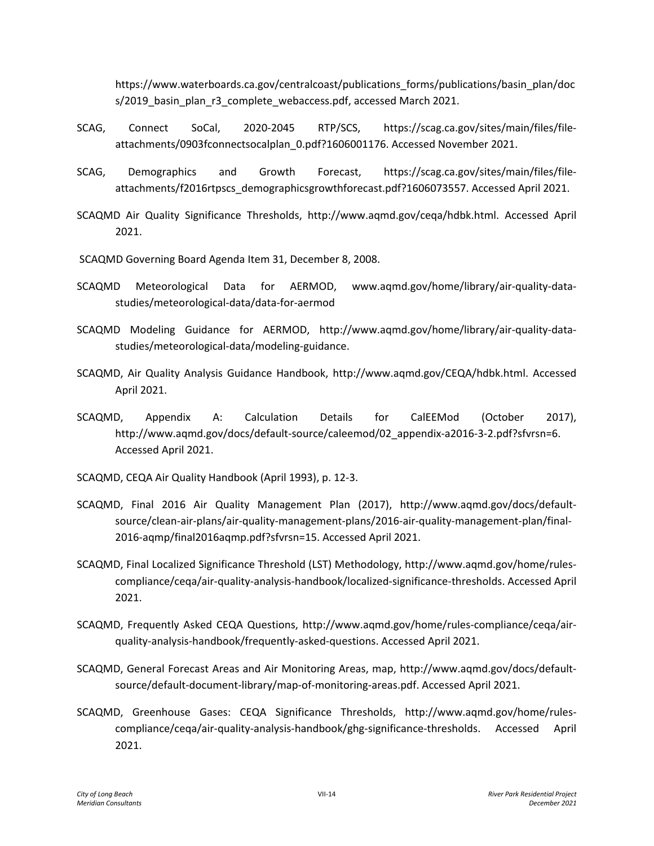https://www.waterboards.ca.gov/centralcoast/publications\_forms/publications/basin\_plan/doc s/2019 basin\_plan\_r3\_complete\_webaccess.pdf, accessed March 2021.

- SCAG, Connect SoCal, 2020-2045 RTP/SCS, https://scag.ca.gov/sites/main/files/fileattachments/0903fconnectsocalplan\_0.pdf?1606001176. Accessed November 2021.
- SCAG, Demographics and Growth Forecast, https://scag.ca.gov/sites/main/files/fileattachments/f2016rtpscs\_demographicsgrowthforecast.pdf?1606073557. Accessed April 2021.
- SCAQMD Air Quality Significance Thresholds, http://www.aqmd.gov/ceqa/hdbk.html. Accessed April 2021.
- SCAQMD Governing Board Agenda Item 31, December 8, 2008.
- SCAQMD Meteorological Data for AERMOD, www.aqmd.gov/home/library/air-quality-datastudies/meteorological-data/data-for-aermod
- SCAQMD Modeling Guidance for AERMOD, http://www.aqmd.gov/home/library/air-quality-datastudies/meteorological-data/modeling-guidance.
- SCAQMD, Air Quality Analysis Guidance Handbook, http://www.aqmd.gov/CEQA/hdbk.html. Accessed April 2021.
- SCAQMD, Appendix A: Calculation Details for CalEEMod (October 2017), http://www.aqmd.gov/docs/default-source/caleemod/02\_appendix-a2016-3-2.pdf?sfvrsn=6. Accessed April 2021.
- SCAQMD, CEQA Air Quality Handbook (April 1993), p. 12-3.
- SCAQMD, Final 2016 Air Quality Management Plan (2017), http://www.aqmd.gov/docs/defaultsource/clean-air-plans/air-quality-management-plans/2016-air-quality-management-plan/final-2016-aqmp/final2016aqmp.pdf?sfvrsn=15. Accessed April 2021.
- SCAQMD, Final Localized Significance Threshold (LST) Methodology, http://www.aqmd.gov/home/rulescompliance/ceqa/air-quality-analysis-handbook/localized-significance-thresholds. Accessed April 2021.
- SCAQMD, Frequently Asked CEQA Questions, http://www.aqmd.gov/home/rules-compliance/ceqa/airquality-analysis-handbook/frequently-asked-questions. Accessed April 2021.
- SCAQMD, General Forecast Areas and Air Monitoring Areas, map, http://www.aqmd.gov/docs/defaultsource/default-document-library/map-of-monitoring-areas.pdf. Accessed April 2021.
- SCAQMD, Greenhouse Gases: CEQA Significance Thresholds, http://www.aqmd.gov/home/rulescompliance/ceqa/air-quality-analysis-handbook/ghg-significance-thresholds. Accessed April 2021.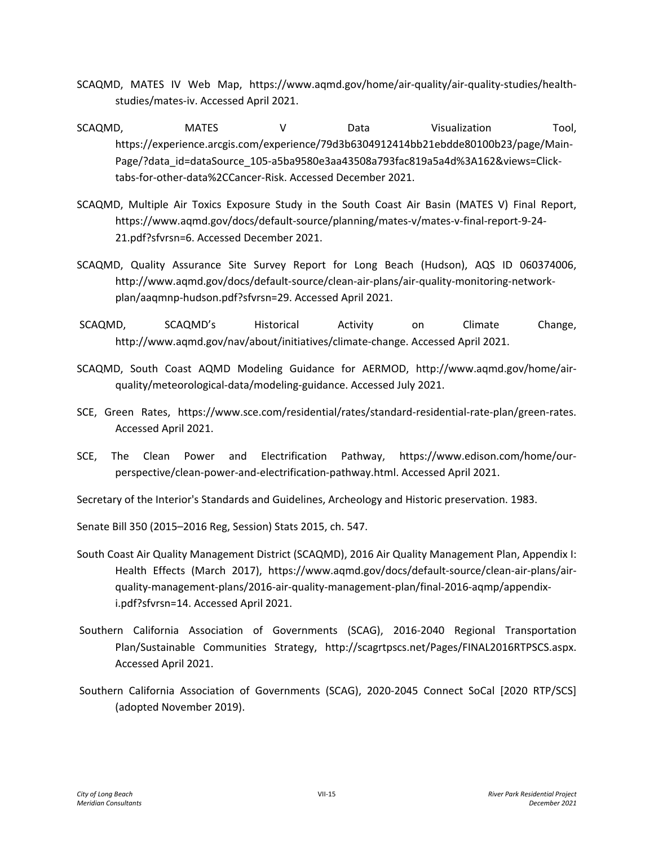- SCAQMD, MATES IV Web Map, https://www.aqmd.gov/home/air-quality/air-quality-studies/healthstudies/mates-iv. Accessed April 2021.
- SCAQMD, MATES V Data Visualization Tool, https://experience.arcgis.com/experience/79d3b6304912414bb21ebdde80100b23/page/Main-Page/?data\_id=dataSource\_105-a5ba9580e3aa43508a793fac819a5a4d%3A162&views=Clicktabs-for-other-data%2CCancer-Risk. Accessed December 2021.
- SCAQMD, Multiple Air Toxics Exposure Study in the South Coast Air Basin (MATES V) Final Report, https://www.aqmd.gov/docs/default-source/planning/mates-v/mates-v-final-report-9-24- 21.pdf?sfvrsn=6. Accessed December 2021.
- SCAQMD, Quality Assurance Site Survey Report for Long Beach (Hudson), AQS ID 060374006, http://www.aqmd.gov/docs/default-source/clean-air-plans/air-quality-monitoring-networkplan/aaqmnp-hudson.pdf?sfvrsn=29. Accessed April 2021.
- SCAQMD, SCAQMD's Historical Activity on Climate Change, http://www.aqmd.gov/nav/about/initiatives/climate-change. Accessed April 2021.
- SCAQMD, South Coast AQMD Modeling Guidance for AERMOD, http://www.aqmd.gov/home/airquality/meteorological-data/modeling-guidance. Accessed July 2021.
- SCE, Green Rates, https://www.sce.com/residential/rates/standard-residential-rate-plan/green-rates. Accessed April 2021.
- SCE, The Clean Power and Electrification Pathway, https://www.edison.com/home/ourperspective/clean-power-and-electrification-pathway.html. Accessed April 2021.

Secretary of the Interior's Standards and Guidelines, Archeology and Historic preservation. 1983.

Senate Bill 350 (2015–2016 Reg, Session) Stats 2015, ch. 547.

- South Coast Air Quality Management District (SCAQMD), 2016 Air Quality Management Plan, Appendix I: Health Effects (March 2017), https://www.aqmd.gov/docs/default-source/clean-air-plans/airquality-management-plans/2016-air-quality-management-plan/final-2016-aqmp/appendixi.pdf?sfvrsn=14. Accessed April 2021.
- Southern California Association of Governments (SCAG), 2016-2040 Regional Transportation Plan/Sustainable Communities Strategy, http://scagrtpscs.net/Pages/FINAL2016RTPSCS.aspx. Accessed April 2021.
- Southern California Association of Governments (SCAG), 2020-2045 Connect SoCal [2020 RTP/SCS] (adopted November 2019).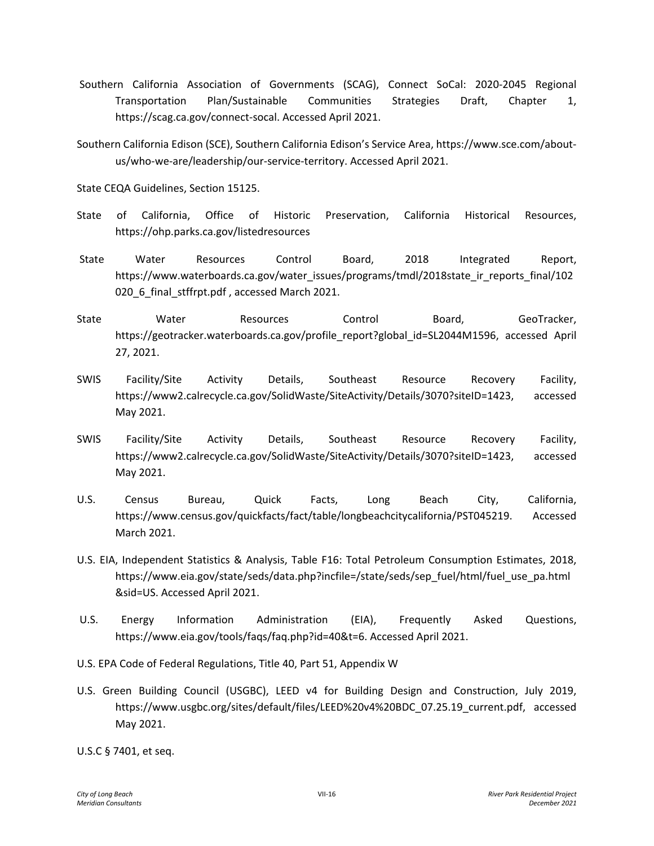- Southern California Association of Governments (SCAG), Connect SoCal: 2020-2045 Regional Transportation Plan/Sustainable Communities Strategies Draft, Chapter 1, https://scag.ca.gov/connect-socal. Accessed April 2021.
- Southern California Edison (SCE), Southern California Edison's Service Area, https://www.sce.com/aboutus/who-we-are/leadership/our-service-territory. Accessed April 2021.

State CEQA Guidelines, Section 15125.

- State of California, Office of Historic Preservation, California Historical Resources, https://ohp.parks.ca.gov/listedresources
- State Water Resources Control Board, 2018 Integrated Report, https://www.waterboards.ca.gov/water\_issues/programs/tmdl/2018state\_ir\_reports\_final/102 020\_6\_final\_stffrpt.pdf , accessed March 2021.
- State Mater Resources Control Board, GeoTracker, https://geotracker.waterboards.ca.gov/profile\_report?global\_id=SL2044M1596, accessed April 27, 2021.
- SWIS Facility/Site Activity Details, Southeast Resource Recovery Facility, https://www2.calrecycle.ca.gov/SolidWaste/SiteActivity/Details/3070?siteID=1423, accessed May 2021.
- SWIS Facility/Site Activity Details, Southeast Resource Recovery Facility, https://www2.calrecycle.ca.gov/SolidWaste/SiteActivity/Details/3070?siteID=1423, accessed May 2021.
- U.S. Census Bureau, Quick Facts, Long Beach City, California, https://www.census.gov/quickfacts/fact/table/longbeachcitycalifornia/PST045219. Accessed March 2021.
- U.S. EIA, Independent Statistics & Analysis, Table F16: Total Petroleum Consumption Estimates, 2018, https://www.eia.gov/state/seds/data.php?incfile=/state/seds/sep\_fuel/html/fuel\_use\_pa.html &sid=US. Accessed April 2021.
- U.S. Energy Information Administration (EIA), Frequently Asked Questions, https://www.eia.gov/tools/faqs/faq.php?id=40&t=6. Accessed April 2021.
- U.S. EPA Code of Federal Regulations, Title 40, Part 51, Appendix W
- U.S. Green Building Council (USGBC), LEED v4 for Building Design and Construction, July 2019, https://www.usgbc.org/sites/default/files/LEED%20v4%20BDC\_07.25.19\_current.pdf, accessed May 2021.

U.S.C § 7401, et seq.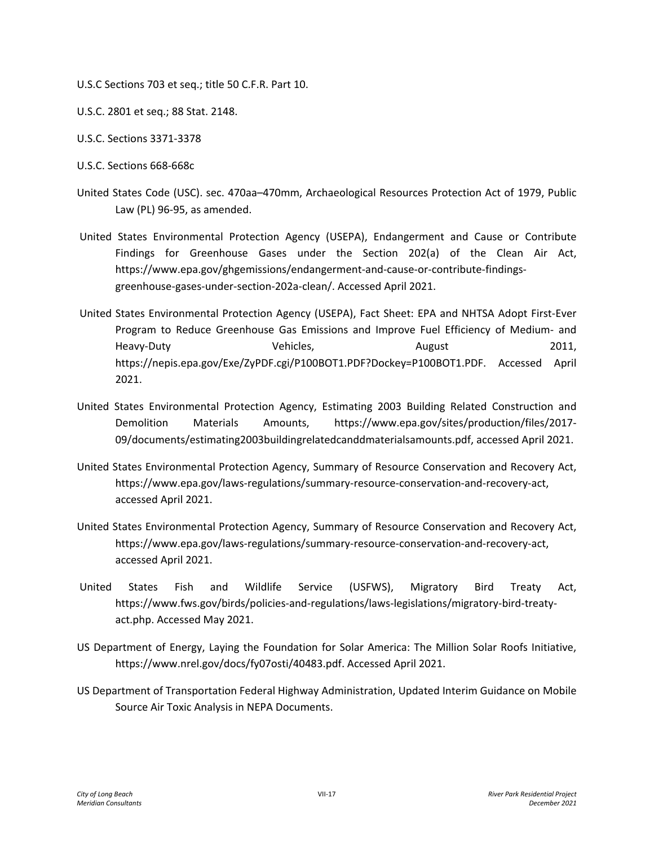- U.S.C Sections 703 et seq.; title 50 C.F.R. Part 10.
- U.S.C. 2801 et seq.; 88 Stat. 2148.
- U.S.C. Sections 3371-3378
- U.S.C. Sections 668-668c
- United States Code (USC). sec. 470aa–470mm, Archaeological Resources Protection Act of 1979, Public Law (PL) 96-95, as amended.
- United States Environmental Protection Agency (USEPA), Endangerment and Cause or Contribute Findings for Greenhouse Gases under the Section 202(a) of the Clean Air Act, https://www.epa.gov/ghgemissions/endangerment-and-cause-or-contribute-findingsgreenhouse-gases-under-section-202a-clean/. Accessed April 2021.
- United States Environmental Protection Agency (USEPA), Fact Sheet: EPA and NHTSA Adopt First-Ever Program to Reduce Greenhouse Gas Emissions and Improve Fuel Efficiency of Medium- and Heavy-Duty **Communist Communist Vehicles,** August 2011, https://nepis.epa.gov/Exe/ZyPDF.cgi/P100BOT1.PDF?Dockey=P100BOT1.PDF. Accessed April 2021.
- United States Environmental Protection Agency, Estimating 2003 Building Related Construction and Demolition Materials Amounts, https://www.epa.gov/sites/production/files/2017- 09/documents/estimating2003buildingrelatedcanddmaterialsamounts.pdf, accessed April 2021.
- United States Environmental Protection Agency, Summary of Resource Conservation and Recovery Act, https://www.epa.gov/laws-regulations/summary-resource-conservation-and-recovery-act, accessed April 2021.
- United States Environmental Protection Agency, Summary of Resource Conservation and Recovery Act, https://www.epa.gov/laws-regulations/summary-resource-conservation-and-recovery-act, accessed April 2021.
- United States Fish and Wildlife Service (USFWS), Migratory Bird Treaty Act, https://www.fws.gov/birds/policies-and-regulations/laws-legislations/migratory-bird-treatyact.php. Accessed May 2021.
- US Department of Energy, Laying the Foundation for Solar America: The Million Solar Roofs Initiative, https://www.nrel.gov/docs/fy07osti/40483.pdf. Accessed April 2021.
- US Department of Transportation Federal Highway Administration, Updated Interim Guidance on Mobile Source Air Toxic Analysis in NEPA Documents.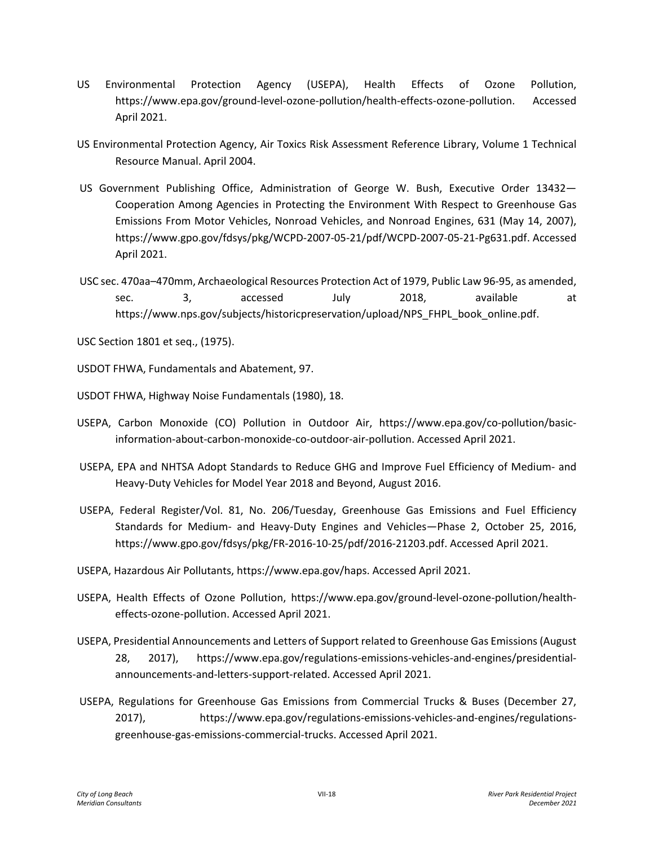- US Environmental Protection Agency (USEPA), Health Effects of Ozone Pollution, https://www.epa.gov/ground-level-ozone-pollution/health-effects-ozone-pollution. Accessed April 2021.
- US Environmental Protection Agency, Air Toxics Risk Assessment Reference Library, Volume 1 Technical Resource Manual. April 2004.
- US Government Publishing Office, Administration of George W. Bush, Executive Order 13432— Cooperation Among Agencies in Protecting the Environment With Respect to Greenhouse Gas Emissions From Motor Vehicles, Nonroad Vehicles, and Nonroad Engines, 631 (May 14, 2007), https://www.gpo.gov/fdsys/pkg/WCPD-2007-05-21/pdf/WCPD-2007-05-21-Pg631.pdf. Accessed April 2021.
- USC sec. 470aa–470mm, Archaeological Resources Protection Act of 1979, Public Law 96-95, as amended, sec. 3, accessed July 2018, available at https://www.nps.gov/subjects/historicpreservation/upload/NPS\_FHPL\_book\_online.pdf.

USC Section 1801 et seq., (1975).

USDOT FHWA, Fundamentals and Abatement, 97.

USDOT FHWA, Highway Noise Fundamentals (1980), 18.

- USEPA, Carbon Monoxide (CO) Pollution in Outdoor Air, https://www.epa.gov/co-pollution/basicinformation-about-carbon-monoxide-co-outdoor-air-pollution. Accessed April 2021.
- USEPA, EPA and NHTSA Adopt Standards to Reduce GHG and Improve Fuel Efficiency of Medium- and Heavy-Duty Vehicles for Model Year 2018 and Beyond, August 2016.
- USEPA, Federal Register/Vol. 81, No. 206/Tuesday, Greenhouse Gas Emissions and Fuel Efficiency Standards for Medium- and Heavy-Duty Engines and Vehicles—Phase 2, October 25, 2016, https://www.gpo.gov/fdsys/pkg/FR-2016-10-25/pdf/2016-21203.pdf. Accessed April 2021.
- USEPA, Hazardous Air Pollutants, https://www.epa.gov/haps. Accessed April 2021.
- USEPA, Health Effects of Ozone Pollution, https://www.epa.gov/ground-level-ozone-pollution/healtheffects-ozone-pollution. Accessed April 2021.
- USEPA, Presidential Announcements and Letters of Support related to Greenhouse Gas Emissions (August 28, 2017), https://www.epa.gov/regulations-emissions-vehicles-and-engines/presidentialannouncements-and-letters-support-related. Accessed April 2021.
- USEPA, Regulations for Greenhouse Gas Emissions from Commercial Trucks & Buses (December 27, 2017), https://www.epa.gov/regulations-emissions-vehicles-and-engines/regulationsgreenhouse-gas-emissions-commercial-trucks. Accessed April 2021.